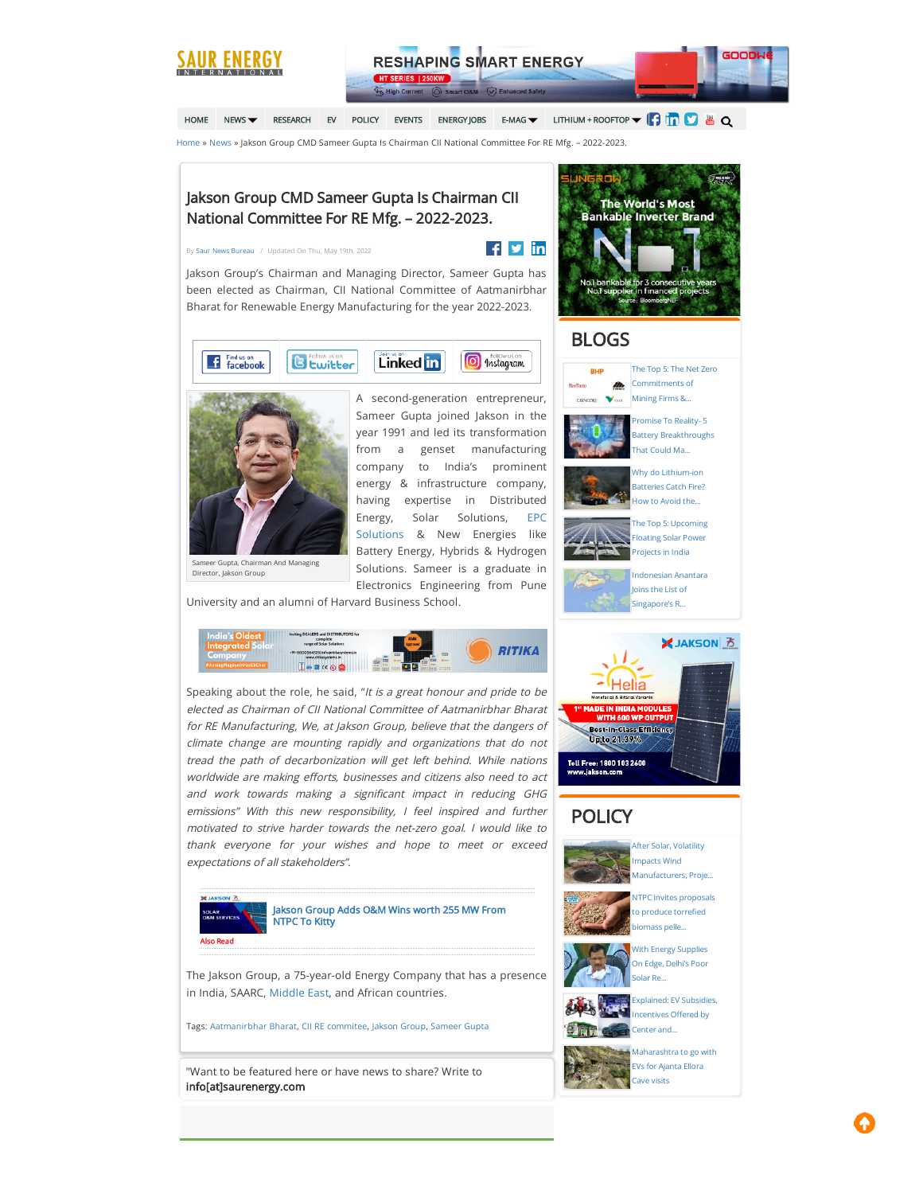

[HOME](https://www.saurenergy.com/) [NEWS](https://www.saurenergy.com/solar-energy-news) **T**[RESEARCH](https://www.saurenergy.com/research) [EV](https://www.saurenergy.com/ev-storage) [POLICY](https://www.saurenergy.com/solar-energy-policy-india) [EVENTS](https://www.saurenergy.com/solar-energy-events) [ENERGY](https://www.saurenergy.com/energy-jobs)JOBS [E-MAG](https://www.saurenergy.com/solar-energy-magazine-india) **T** LITHIUM + ROOFTOP  $\blacksquare$   $\blacksquare$   $\blacksquare$   $\blacksquare$   $\blacksquare$ 

[Home](https://www.saurenergy.com/) » [News](https://www.saurenergy.com/solar-energy-news) » Jakson Group CMD Sameer Gupta Is Chairman CII National Committee For RE Mfg. – 2022-2023.